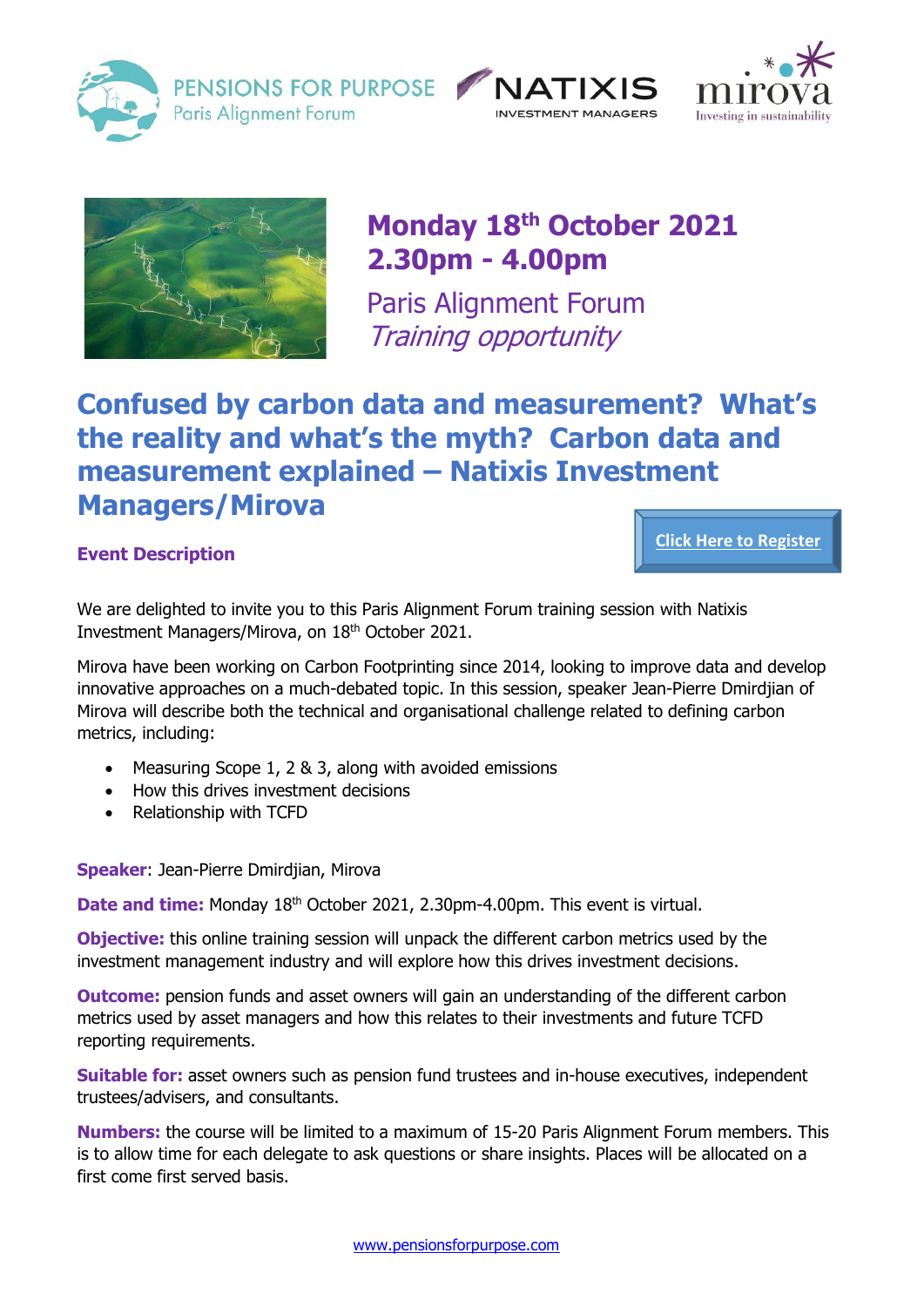

PENSIONS FOR PURPOSE Paris Alianment Forum







# **Monday 18th October 2021 2.30pm - 4.00pm**

Paris Alignment Forum Training opportunity

## **Confused by carbon data and measurement? What's the reality and what's the myth? Carbon data and measurement explained – Natixis Investment Managers/Mirova**

## **Event Description**

**[Click Here to Register](https://us02web.zoom.us/meeting/register/tZAkd-mvpjIsGtT3mR_aOzGhY9_UH-q7E5Ui)**

We are delighted to invite you to this Paris Alignment Forum training session with Natixis Investment Managers/Mirova, on 18<sup>th</sup> October 2021.

Mirova have been working on Carbon Footprinting since 2014, looking to improve data and develop innovative approaches on a much-debated topic. In this session, speaker Jean-Pierre Dmirdjian of Mirova will describe both the technical and organisational challenge related to defining carbon metrics, including:

- Measuring Scope 1, 2 & 3, along with avoided emissions
- How this drives investment decisions
- Relationship with TCFD

**Speaker**: Jean-Pierre Dmirdjian, Mirova

**Date and time:** Monday 18<sup>th</sup> October 2021, 2.30pm-4.00pm. This event is virtual.

**Objective:** this online training session will unpack the different carbon metrics used by the investment management industry and will explore how this drives investment decisions.

**Outcome:** pension funds and asset owners will gain an understanding of the different carbon metrics used by asset managers and how this relates to their investments and future TCFD reporting requirements.

**Suitable for:** asset owners such as pension fund trustees and in-house executives, independent trustees/advisers, and consultants.

**Numbers:** the course will be limited to a maximum of 15-20 Paris Alignment Forum members. This is to allow time for each delegate to ask questions or share insights. Places will be allocated on a first come first served basis.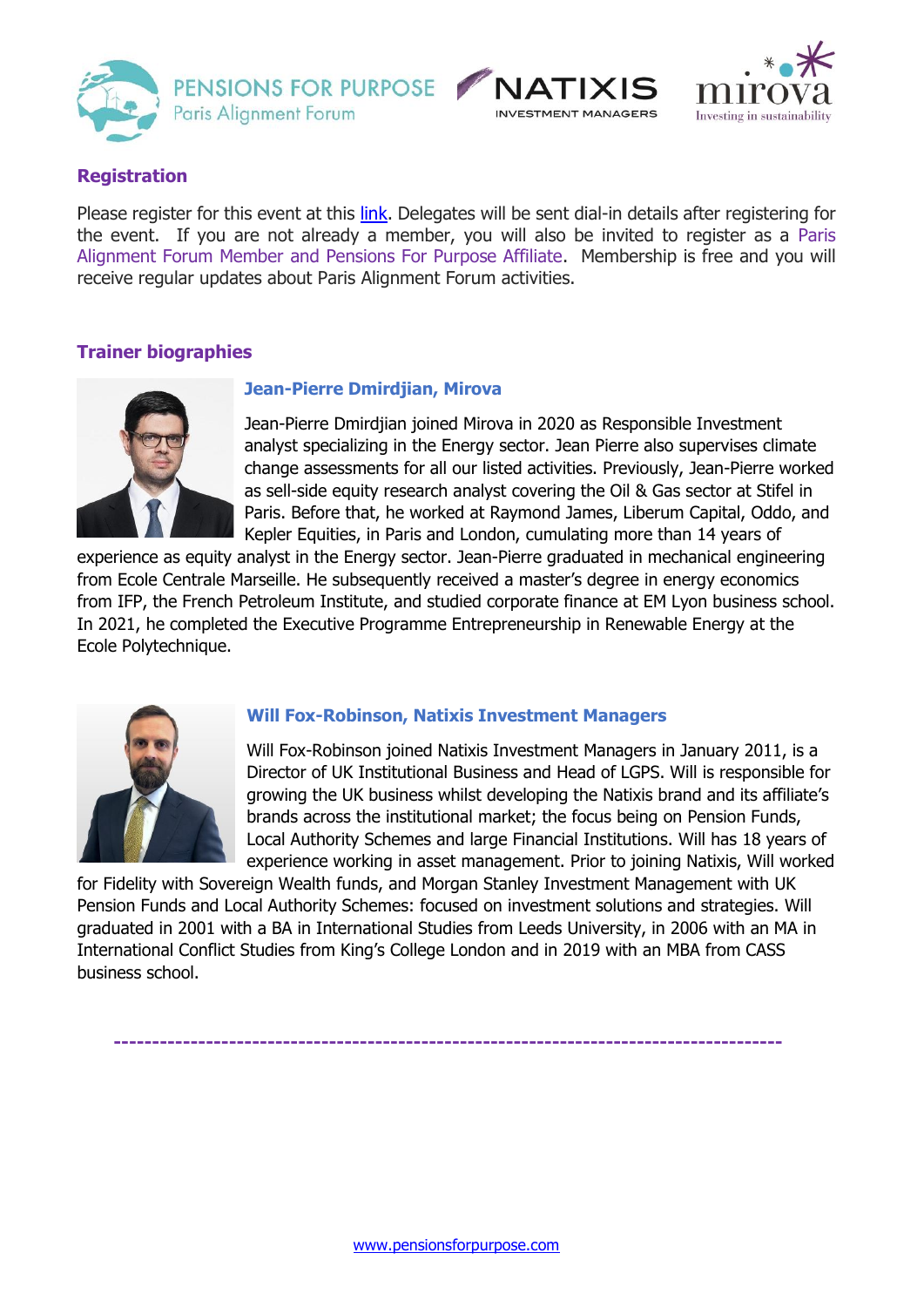





## **Registration**

Please register for this event at this [link.](https://us02web.zoom.us/meeting/register/tZAkd-mvpjIsGtT3mR_aOzGhY9_UH-q7E5Ui) Delegates will be sent dial-in details after registering for the event. If you are not already a member, you will also be invited to register as a Paris Alignment Forum Member and Pensions For Purpose Affiliate. Membership is free and you will receive regular updates about Paris Alignment Forum activities.

## **Trainer biographies**



### **Jean-Pierre Dmirdjian, Mirova**

Jean-Pierre Dmirdjian joined Mirova in 2020 as Responsible Investment analyst specializing in the Energy sector. Jean Pierre also supervises climate change assessments for all our listed activities. Previously, Jean-Pierre worked as sell-side equity research analyst covering the Oil & Gas sector at Stifel in Paris. Before that, he worked at Raymond James, Liberum Capital, Oddo, and Kepler Equities, in Paris and London, cumulating more than 14 years of

experience as equity analyst in the Energy sector. Jean-Pierre graduated in mechanical engineering from Ecole Centrale Marseille. He subsequently received a master's degree in energy economics from IFP, the French Petroleum Institute, and studied corporate finance at EM Lyon business school. In 2021, he completed the Executive Programme Entrepreneurship in Renewable Energy at the Ecole Polytechnique.



#### **Will Fox-Robinson, Natixis Investment Managers**

Will Fox-Robinson joined Natixis Investment Managers in January 2011, is a Director of UK Institutional Business and Head of LGPS. Will is responsible for growing the UK business whilst developing the Natixis brand and its affiliate's brands across the institutional market; the focus being on Pension Funds, Local Authority Schemes and large Financial Institutions. Will has 18 years of experience working in asset management. Prior to joining Natixis, Will worked

for Fidelity with Sovereign Wealth funds, and Morgan Stanley Investment Management with UK Pension Funds and Local Authority Schemes: focused on investment solutions and strategies. Will graduated in 2001 with a BA in International Studies from Leeds University, in 2006 with an MA in International Conflict Studies from King's College London and in 2019 with an MBA from CASS business school.

 **---------------------------------------------------------------------------------------**